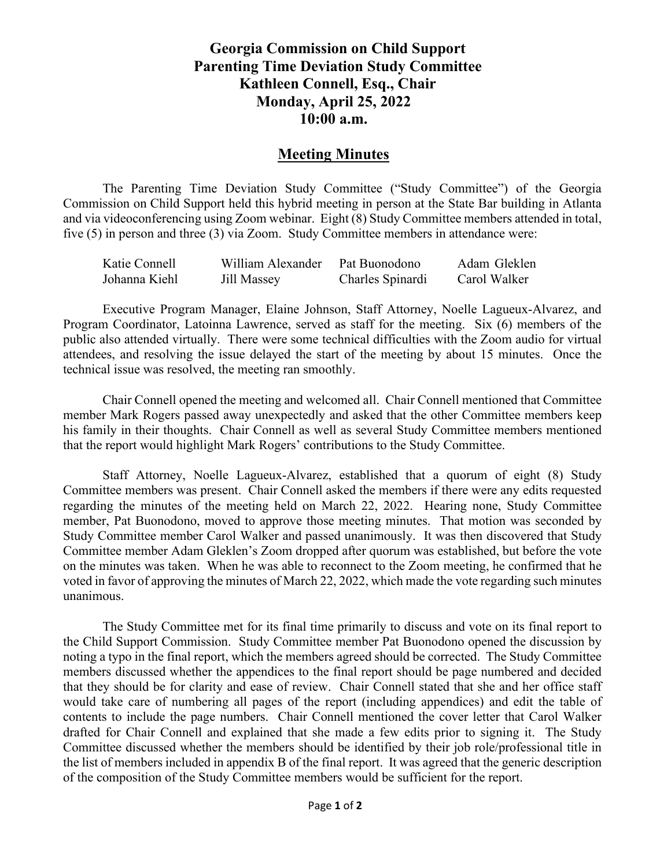## **Georgia Commission on Child Support Parenting Time Deviation Study Committee Kathleen Connell, Esq., Chair Monday, April 25, 2022 10:00 a.m.**

## **Meeting Minutes**

The Parenting Time Deviation Study Committee ("Study Committee") of the Georgia Commission on Child Support held this hybrid meeting in person at the State Bar building in Atlanta and via videoconferencing using Zoom webinar. Eight (8) Study Committee members attended in total, five (5) in person and three (3) via Zoom. Study Committee members in attendance were:

| Katie Connell | William Alexander | Pat Buonodono    | Adam Gleklen |
|---------------|-------------------|------------------|--------------|
| Johanna Kiehl | Jill Massey       | Charles Spinardi | Carol Walker |

Executive Program Manager, Elaine Johnson, Staff Attorney, Noelle Lagueux-Alvarez, and Program Coordinator, Latoinna Lawrence, served as staff for the meeting. Six (6) members of the public also attended virtually. There were some technical difficulties with the Zoom audio for virtual attendees, and resolving the issue delayed the start of the meeting by about 15 minutes. Once the technical issue was resolved, the meeting ran smoothly.

Chair Connell opened the meeting and welcomed all. Chair Connell mentioned that Committee member Mark Rogers passed away unexpectedly and asked that the other Committee members keep his family in their thoughts. Chair Connell as well as several Study Committee members mentioned that the report would highlight Mark Rogers' contributions to the Study Committee.

Staff Attorney, Noelle Lagueux-Alvarez, established that a quorum of eight (8) Study Committee members was present. Chair Connell asked the members if there were any edits requested regarding the minutes of the meeting held on March 22, 2022. Hearing none, Study Committee member, Pat Buonodono, moved to approve those meeting minutes. That motion was seconded by Study Committee member Carol Walker and passed unanimously. It was then discovered that Study Committee member Adam Gleklen's Zoom dropped after quorum was established, but before the vote on the minutes was taken. When he was able to reconnect to the Zoom meeting, he confirmed that he voted in favor of approving the minutes of March 22, 2022, which made the vote regarding such minutes unanimous.

The Study Committee met for its final time primarily to discuss and vote on its final report to the Child Support Commission. Study Committee member Pat Buonodono opened the discussion by noting a typo in the final report, which the members agreed should be corrected. The Study Committee members discussed whether the appendices to the final report should be page numbered and decided that they should be for clarity and ease of review. Chair Connell stated that she and her office staff would take care of numbering all pages of the report (including appendices) and edit the table of contents to include the page numbers. Chair Connell mentioned the cover letter that Carol Walker drafted for Chair Connell and explained that she made a few edits prior to signing it. The Study Committee discussed whether the members should be identified by their job role/professional title in the list of members included in appendix B of the final report. It was agreed that the generic description of the composition of the Study Committee members would be sufficient for the report.